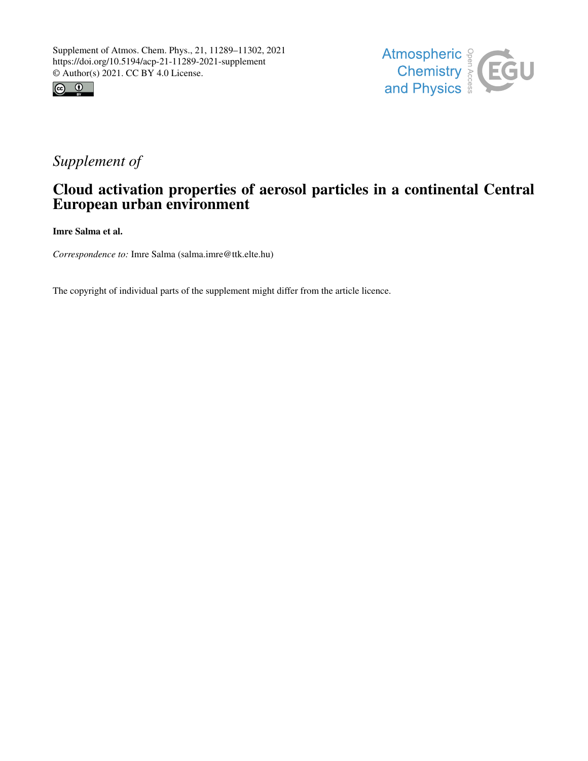



## *Supplement of*

## Cloud activation properties of aerosol particles in a continental Central European urban environment

Imre Salma et al.

*Correspondence to:* Imre Salma (salma.imre@ttk.elte.hu)

The copyright of individual parts of the supplement might differ from the article licence.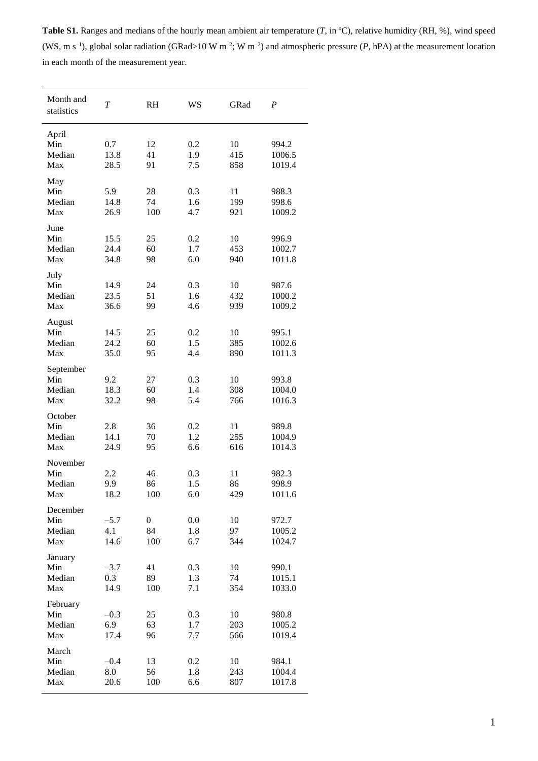**Table S1.** Ranges and medians of the hourly mean ambient air temperature (*T*, in ºC), relative humidity (RH, %), wind speed (WS, m s<sup>-1</sup>), global solar radiation (GRad>10 W m<sup>-2</sup>; W m<sup>-2</sup>) and atmospheric pressure (*P*, hPA) at the measurement location in each month of the measurement year.

| Month and<br>statistics           | $\overline{T}$        | <b>RH</b>                     | <b>WS</b>         | GRad             | $\boldsymbol{P}$          |
|-----------------------------------|-----------------------|-------------------------------|-------------------|------------------|---------------------------|
| April<br>Min<br>Median<br>Max     | 0.7<br>13.8<br>28.5   | 12<br>41<br>91                | 0.2<br>1.9<br>7.5 | 10<br>415<br>858 | 994.2<br>1006.5<br>1019.4 |
| May<br>Min<br>Median<br>Max       | 5.9<br>14.8<br>26.9   | 28<br>74<br>100               | 0.3<br>1.6<br>4.7 | 11<br>199<br>921 | 988.3<br>998.6<br>1009.2  |
| June<br>Min<br>Median<br>Max      | 15.5<br>24.4<br>34.8  | 25<br>60<br>98                | 0.2<br>1.7<br>6.0 | 10<br>453<br>940 | 996.9<br>1002.7<br>1011.8 |
| July<br>Min<br>Median<br>Max      | 14.9<br>23.5<br>36.6  | 24<br>51<br>99                | 0.3<br>1.6<br>4.6 | 10<br>432<br>939 | 987.6<br>1000.2<br>1009.2 |
| August<br>Min<br>Median<br>Max    | 14.5<br>24.2<br>35.0  | 25<br>60<br>95                | 0.2<br>1.5<br>4.4 | 10<br>385<br>890 | 995.1<br>1002.6<br>1011.3 |
| September<br>Min<br>Median<br>Max | 9.2<br>18.3<br>32.2   | 27<br>60<br>98                | 0.3<br>1.4<br>5.4 | 10<br>308<br>766 | 993.8<br>1004.0<br>1016.3 |
| October<br>Min<br>Median<br>Max   | 2.8<br>14.1<br>24.9   | 36<br>70<br>95                | 0.2<br>1.2<br>6.6 | 11<br>255<br>616 | 989.8<br>1004.9<br>1014.3 |
| November<br>Min<br>Median<br>Max  | 2.2<br>9.9<br>18.2    | 46<br>86<br>100               | 0.3<br>1.5<br>6.0 | 11<br>86<br>429  | 982.3<br>998.9<br>1011.6  |
| December<br>Min<br>Median<br>Max  | $-5.7$<br>4.1<br>14.6 | $\boldsymbol{0}$<br>84<br>100 | 0.0<br>1.8<br>6.7 | 10<br>97<br>344  | 972.7<br>1005.2<br>1024.7 |
| January<br>Min<br>Median<br>Max   | $-3.7$<br>0.3<br>14.9 | 41<br>89<br>100               | 0.3<br>1.3<br>7.1 | 10<br>74<br>354  | 990.1<br>1015.1<br>1033.0 |
| February<br>Min<br>Median<br>Max  | $-0.3$<br>6.9<br>17.4 | 25<br>63<br>96                | 0.3<br>1.7<br>7.7 | 10<br>203<br>566 | 980.8<br>1005.2<br>1019.4 |
| March<br>Min<br>Median<br>Max     | $-0.4$<br>8.0<br>20.6 | 13<br>56<br>100               | 0.2<br>1.8<br>6.6 | 10<br>243<br>807 | 984.1<br>1004.4<br>1017.8 |